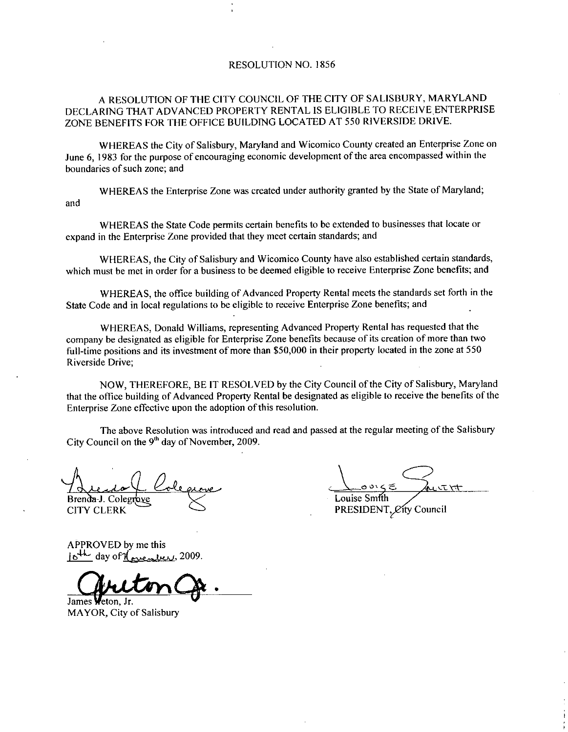### RESOLUTION NO. 1856

## A RESOLUTION OF THE CITY COUNCIL OF THE CITY OF SALISBURY MARYLAND DECLARING THAT ADVANCED PROPERTY RENTAL IS ELIGIBLE TO RECEIVE ENTERPRISE ZONE BENEFITS FOR THE OFFICE BUILDING LOCATED AT 550 RIVERSIDE DRIVE.

WHEREAS the City of Salisbury, Maryland and Wicomico County created an Enterprise Zone on June 6, 1983 for the purpose of encouraging economic development of the area encompassed within the boundaries of such zone; and

WHEREAS the Enterprise Zone was created under authority granted by the State of Maryland; and

WHEREAS the State Code permits certain benefits to be extended to businesses that locate or expand in the Enterprise Zone provided that they meet certain standards; and

WHEREAS, the City of Salisbury and Wicomico County have also established certain standards, which must be met in order for a business to be deemed eligible to receive Enterprise Zone benefits; and

WHEREAS, the office building of Advanced Property Rental meets the standards set forth in the State Code and in local regulations to be eligible to receive Enterprise Zone benefits; and

WHEREAS, Donald Williams, representing Advanced Property Rental has requested that the company be designated as eligible for Enterprise Zone benefits because of its creation of more than two<br>full-time positions and its investment of more than \$50,000 in their property located in the zone at 550 Riverside Drive

NOW, THEREFORE, BE IT RESOLVED by the City Council of the City of Salisbury, Maryland that the office building of Advanced Property Rental be designated as eligible to receive the benefits of the Enterprise Zone effective upon the adoption of this resolution.

The above Resolution was introduced and read and passed at the regular meeting of the Salisbury City Council on the  $9<sup>th</sup>$  day of November, 2009.

احیرا Brenda-J. Colegrove Alenda J. Colegne<br>Brenda J. Colegne<br>CITY CLERK<br>APPROVED by me this<br>jo<sup>th</sup> day of <u>leventure</u>, 2009.

CITY CLERK

Louise Smith PRESIDENT, *C*ity Council

APPROVED by me this

r

James **W**eton, Jr. MAYOR, City of Salisbury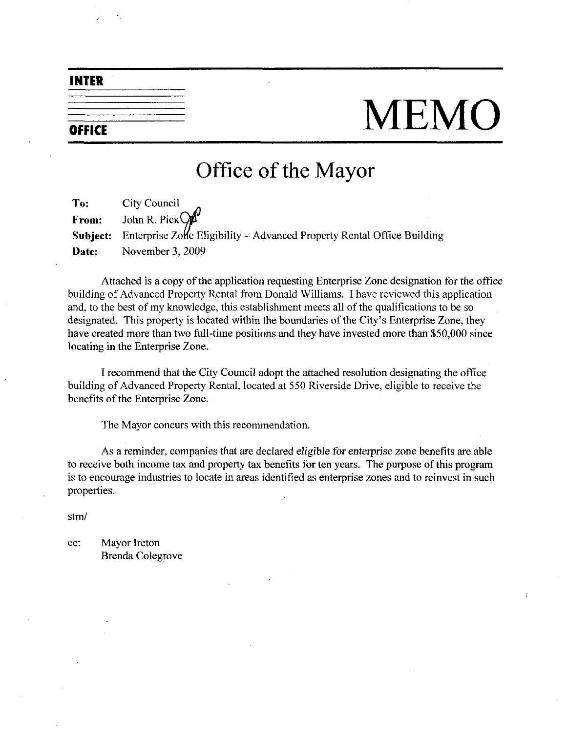# INTER

# $\overline{\overline{\phantom{m}}\phantom{m}}$  MEMO

# Office of the Mayor

To: City Council From: John R. Pick Subject: Enterprise Zolle Eligibility - Advanced Property Rental Office Building Date: November 3, 2009

Attached is a copy of the application requesting Enterprise Lone designation for the office building of Advanced Property Rental from Donald Williams. I have reviewed this application<br>and, to the best of my knowledge, this establishment meets all of the qualifications to be so<br>designated. This property is located and, to the best of my knowledge, this establishment meets all of the qualifications to be so designated. This property is located within the boundaries of the City's Enterprise Zone, they have created more than two full-time positions and they have invested more than \$50,000 since locating in the Enterprise Zone

Irecommend that the City Council adopt the attached resolution designating the office building of Advanced Property Rental, located at 550 Riverside Drive, eligible to receive the benefits of the Enterprise Zone.

The Mayor concurs with this recommendation

As a reminder, companies that are declared eligible for enterprise zone benefits are able to receive both income tax and property tax benefits for ten years. The purpose of this program is to encourage industries to locate in areas identified as enterprise zones and to reinvest in such properties

stm

ec: Mayor Ireton Brenda Colegrove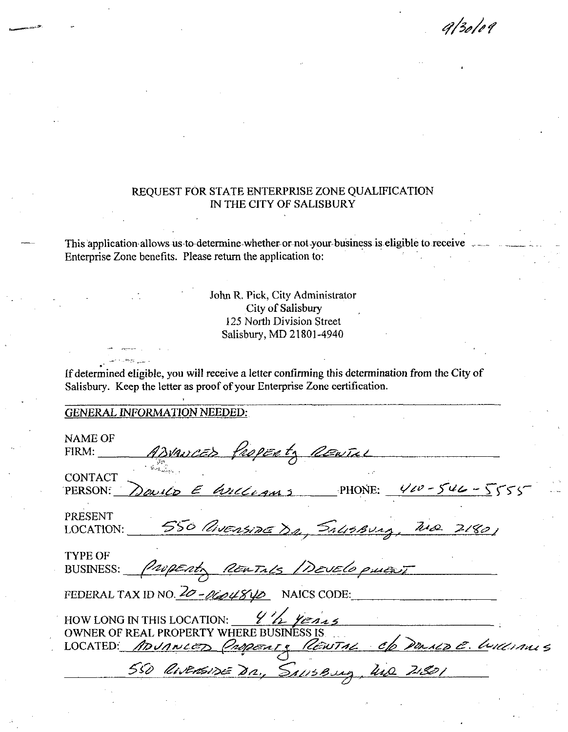$9/30/09$ 

# REQUEST FOR STATE ENTERPRISE ZONE QUALIFICATION IN THE CITY OF SALISBURY

This application allows us to determine whether or not your business is eligible to receive. Enterprise Zone benefits. Please return the application to:

> John R. Pick, City Administrator City of Salisbury 125 North Division Street Salisbury, MD 21801-4940

If determined eligible, you will receive a letter confirming this determination from the City of Salisbury. Keep the letter as proof of your Enterprise Zone certification.

# **GENERAL INFORMATION NEEDED:**

| NAME OF<br>ADVANCED PROPERTY RENTILL<br>FIRM:                                                                                                                                     |
|-----------------------------------------------------------------------------------------------------------------------------------------------------------------------------------|
| CONTACT<br>Donico E Anccessos PHONE: 400-546-5555<br>PERSON:                                                                                                                      |
| PRESENT<br>550 Avensine Dr., Salisburg, Wa 2180)<br>LOCATION:                                                                                                                     |
| TYPE OF<br>BUSINESS: <i>Property REATALS DEVELOPMENT</i>                                                                                                                          |
| FEDERAL TAX ID NO. $20 - 0.04840$ NAICS CODE:                                                                                                                                     |
| HOW LONG IN THIS LOCATION: $\frac{\gamma\gamma}{\gamma}$ $\gamma_{2\gamma}$<br>OWNER OF REAL PROPERTY WHERE BUSINESS IS.<br>LOCATED: ADUNCED Property REWTAL Of DURIN E. Williams |
| 550 RIVENSIDE DR., SALISBURG, UND 21801                                                                                                                                           |
|                                                                                                                                                                                   |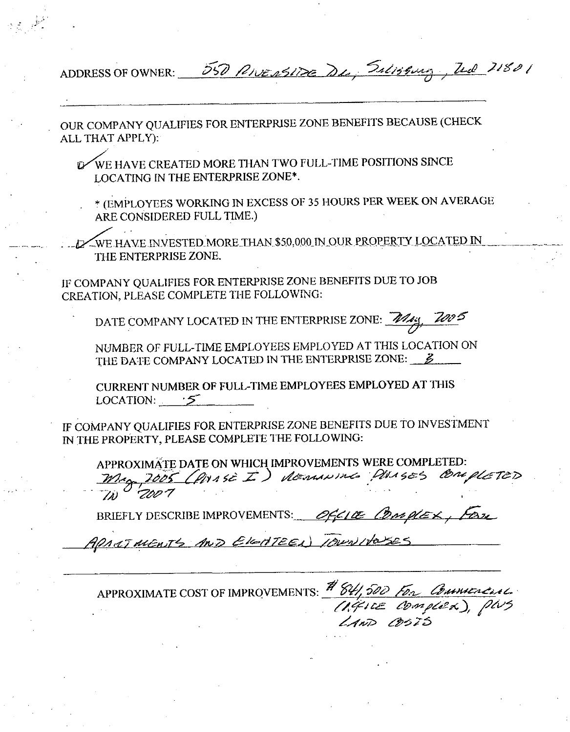ADDRESS OF OWNER:

550 PINESSINE De Salissung, Zed 21801

OUR COMPANY QUALIFIES FOR ENTERPRISE ZONE BENEFITS BECAUSE (CHECK ALL THAT APPLY):

WE HAVE CREATED MORE THAN TWO FULL-TIME POSITIONS SINCE LOCATING IN THE ENTERPRISE ZONE\*.

\* (EMPLOYEES WORKING IN EXCESS OF 35 HOURS PER WEEK ON AVERAGE ARE CONSIDERED FULL TIME.)

WE HAVE INVESTED MORE THAN \$50,000 IN OUR PROPERTY LOCATED IN THE ENTERPRISE ZONE.

IF COMPANY QUALIFIES FOR ENTERPRISE ZONE BENEFITS DUE TO JOB CREATION, PLEASE COMPLETE THE FOLLOWING:

DATE COMPANY LOCATED IN THE ENTERPRISE ZONE: 2016:

NUMBER OF FULL-TIME EMPLOYEES EMPLOYED AT THIS LOCATION ON THE DATE COMPANY LOCATED IN THE ENTERPRISE ZONE:  $\mathcal{B}$ 

CURRENT NUMBER OF FULL-TIME EMPLOYEES EMPLOYED AT THIS LOCATION:  $\sqrt{5}$ 

IF COMPANY QUALIFIES FOR ENTERPRISE ZONE BENEFITS DUE TO INVESTMENT IN THE PROPERTY, PLEASE COMPLETE THE FOLLOWING:

APPROXIMATE DATE ON WHICH IMPROVEMENTS WERE COMPLETED: Mag 2005 (POISE I) demonds POISES COMPLETED

BRIEFLY DESCRIBE IMPROVEMENTS: 055100 Conselex, for

AND ELECTEEL) IDUNITO

APPROXIMATE COST OF IMPROVEMENTS: # 84,500 For Commenced (AGILE COMPLEX), PWS LAND BEZS